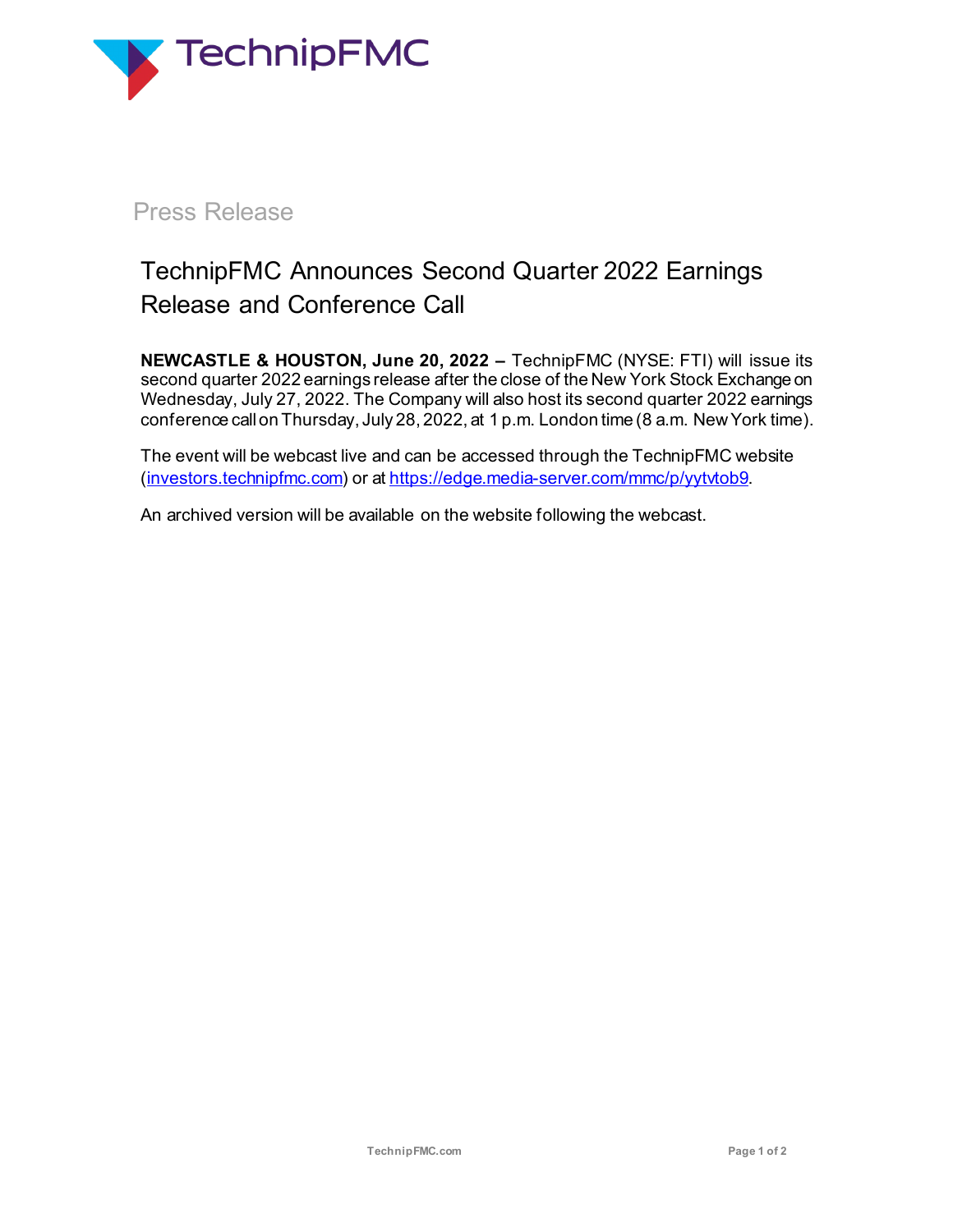

# Press Release

# TechnipFMC Announces Second Quarter 2022 Earnings Release and Conference Call

**NEWCASTLE & HOUSTON, June 20, 2022 –** TechnipFMC (NYSE: FTI) will issue its second quarter 2022 earnings release after the close of the New York Stock Exchange on Wednesday, July 27, 2022. The Company will also host its second quarter 2022 earnings conference callon Thursday, July 28, 2022, at 1 p.m. London time (8 a.m. New York time).

The event will be webcast live and can be accessed through the TechnipFMC website [\(investors.technipfmc.com](https://investors.technipfmc.com/)) or at [https://edge.media-server.com/mmc/p/yytvtob9](https://eur03.safelinks.protection.outlook.com/?url=https%3A%2F%2Fedge.media-server.com%2Fmmc%2Fp%2Fyytvtob9&data=05%7C01%7CJames.Davis%40technipfmc.com%7Cfa4d78277c42461e165408da4eef8b7d%7C0804c95193a0405d80e4fa87c7551d6a%7C0%7C0%7C637909087995185847%7CUnknown%7CTWFpbGZsb3d8eyJWIjoiMC4wLjAwMDAiLCJQIjoiV2luMzIiLCJBTiI6Ik1haWwiLCJXVCI6Mn0%3D%7C3000%7C%7C%7C&sdata=o1tASoQ8iJ3pDl3h7YDuov81EVqqJG%2F3ey8L1ANCsyQ%3D&reserved=0).

An archived version will be available on the website following the webcast.